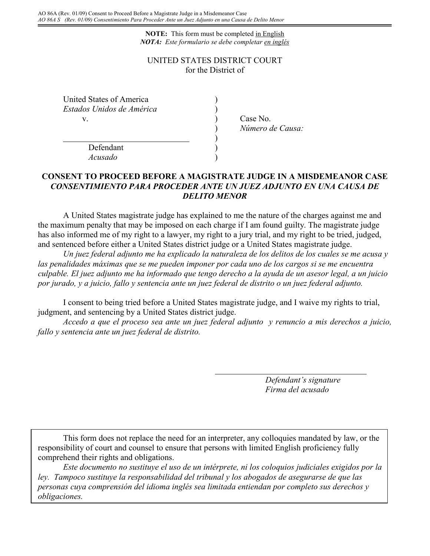**NOTE:** This form must be completed in English *NOTA: Este formulario se debe completar en inglés*

## UNITED STATES DISTRICT COURT for the District of

| United States of America  |  |
|---------------------------|--|
| Estados Unidos de América |  |
|                           |  |

) Case No. ) *Número de Causa:*

Defendant ) *Acusado* )

## **CONSENT TO PROCEED BEFORE A MAGISTRATE JUDGE IN A MISDEMEANOR CASE** *CONSENTIMIENTO PARA PROCEDER ANTE UN JUEZ ADJUNTO EN UNA CAUSA DE DELITO MENOR*

)

A United States magistrate judge has explained to me the nature of the charges against me and the maximum penalty that may be imposed on each charge if I am found guilty. The magistrate judge has also informed me of my right to a lawyer, my right to a jury trial, and my right to be tried, judged, and sentenced before either a United States district judge or a United States magistrate judge.

*Un juez federal adjunto me ha explicado la naturaleza de los delitos de los cuales se me acusa y las penalidades máximas que se me pueden imponer por cada uno de los cargos si se me encuentra culpable. El juez adjunto me ha informado que tengo derecho a la ayuda de un asesor legal, a un juicio por jurado, y a juicio, fallo y sentencia ante un juez federal de distrito o un juez federal adjunto.* 

I consent to being tried before a United States magistrate judge, and I waive my rights to trial, judgment, and sentencing by a United States district judge.

*Accedo a que el proceso sea ante un juez federal adjunto y renuncio a mis derechos a juicio, fallo y sentencia ante un juez federal de distrito.*

> *Defendant's signature Firma del acusado*

This form does not replace the need for an interpreter, any colloquies mandated by law, or the responsibility of court and counsel to ensure that persons with limited English proficiency fully comprehend their rights and obligations.

*Este documento no sustituye el uso de un intérprete, ni los coloquios judiciales exigidos por la ley. Tampoco sustituye la responsabilidad del tribunal y los abogados de asegurarse de que las personas cuya comprensión del idioma inglés sea limitada entiendan por completo sus derechos y obligaciones.*